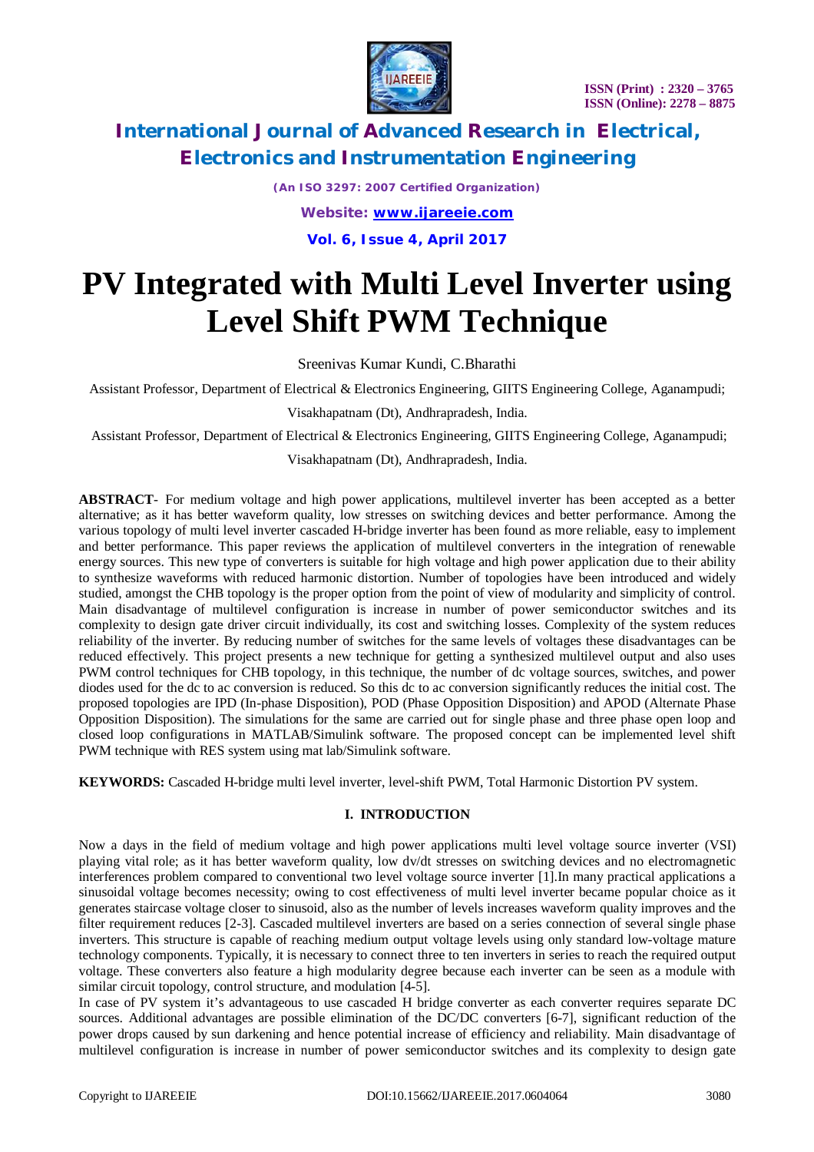



*(An ISO 3297: 2007 Certified Organization) Website: [www.ijareeie.com](http://www.ijareeie.com)* **Vol. 6, Issue 4, April 2017**

# **PV Integrated with Multi Level Inverter using Level Shift PWM Technique**

Sreenivas Kumar Kundi, C.Bharathi

Assistant Professor, Department of Electrical & Electronics Engineering, GIITS Engineering College, Aganampudi;

Visakhapatnam (Dt), Andhrapradesh, India.

Assistant Professor, Department of Electrical & Electronics Engineering, GIITS Engineering College, Aganampudi;

Visakhapatnam (Dt), Andhrapradesh, India.

**ABSTRACT**- For medium voltage and high power applications, multilevel inverter has been accepted as a better alternative; as it has better waveform quality, low stresses on switching devices and better performance. Among the various topology of multi level inverter cascaded H-bridge inverter has been found as more reliable, easy to implement and better performance. This paper reviews the application of multilevel converters in the integration of renewable energy sources. This new type of converters is suitable for high voltage and high power application due to their ability to synthesize waveforms with reduced harmonic distortion. Number of topologies have been introduced and widely studied, amongst the CHB topology is the proper option from the point of view of modularity and simplicity of control. Main disadvantage of multilevel configuration is increase in number of power semiconductor switches and its complexity to design gate driver circuit individually, its cost and switching losses. Complexity of the system reduces reliability of the inverter. By reducing number of switches for the same levels of voltages these disadvantages can be reduced effectively. This project presents a new technique for getting a synthesized multilevel output and also uses PWM control techniques for CHB topology, in this technique, the number of dc voltage sources, switches, and power diodes used for the dc to ac conversion is reduced. So this dc to ac conversion significantly reduces the initial cost. The proposed topologies are IPD (In-phase Disposition), POD (Phase Opposition Disposition) and APOD (Alternate Phase Opposition Disposition). The simulations for the same are carried out for single phase and three phase open loop and closed loop configurations in MATLAB/Simulink software. The proposed concept can be implemented level shift PWM technique with RES system using mat lab/Simulink software.

**KEYWORDS:** Cascaded H-bridge multi level inverter, level-shift PWM, Total Harmonic Distortion PV system.

#### **I. INTRODUCTION**

Now a days in the field of medium voltage and high power applications multi level voltage source inverter (VSI) playing vital role; as it has better waveform quality, low dv/dt stresses on switching devices and no electromagnetic interferences problem compared to conventional two level voltage source inverter [1].In many practical applications a sinusoidal voltage becomes necessity; owing to cost effectiveness of multi level inverter became popular choice as it generates staircase voltage closer to sinusoid, also as the number of levels increases waveform quality improves and the filter requirement reduces [2-3]. Cascaded multilevel inverters are based on a series connection of several single phase inverters. This structure is capable of reaching medium output voltage levels using only standard low-voltage mature technology components. Typically, it is necessary to connect three to ten inverters in series to reach the required output voltage. These converters also feature a high modularity degree because each inverter can be seen as a module with similar circuit topology, control structure, and modulation [4-5].

In case of PV system it's advantageous to use cascaded H bridge converter as each converter requires separate DC sources. Additional advantages are possible elimination of the DC/DC converters [6-7], significant reduction of the power drops caused by sun darkening and hence potential increase of efficiency and reliability. Main disadvantage of multilevel configuration is increase in number of power semiconductor switches and its complexity to design gate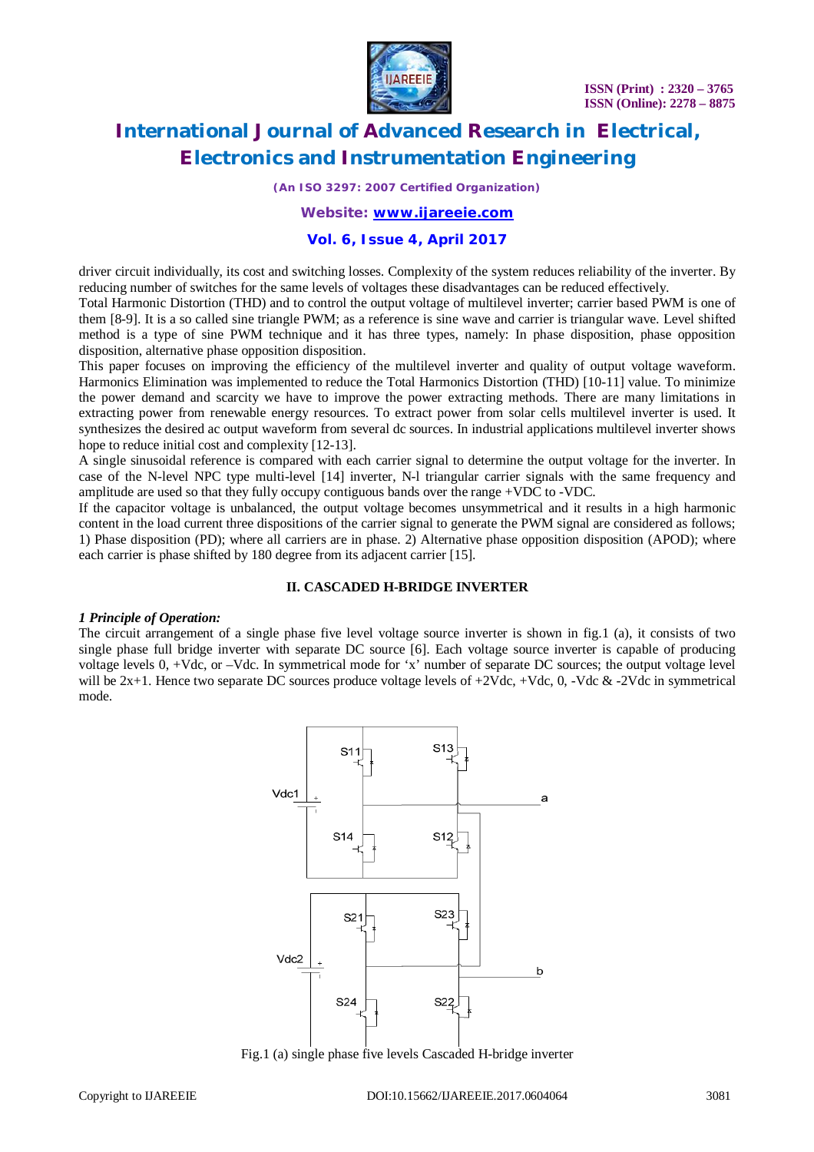

*(An ISO 3297: 2007 Certified Organization)*

#### *Website: [www.ijareeie.com](http://www.ijareeie.com)*

#### **Vol. 6, Issue 4, April 2017**

driver circuit individually, its cost and switching losses. Complexity of the system reduces reliability of the inverter. By reducing number of switches for the same levels of voltages these disadvantages can be reduced effectively.

Total Harmonic Distortion (THD) and to control the output voltage of multilevel inverter; carrier based PWM is one of them [8-9]. It is a so called sine triangle PWM; as a reference is sine wave and carrier is triangular wave. Level shifted method is a type of sine PWM technique and it has three types, namely: In phase disposition, phase opposition disposition, alternative phase opposition disposition.

This paper focuses on improving the efficiency of the multilevel inverter and quality of output voltage waveform. Harmonics Elimination was implemented to reduce the Total Harmonics Distortion (THD) [10-11] value. To minimize the power demand and scarcity we have to improve the power extracting methods. There are many limitations in extracting power from renewable energy resources. To extract power from solar cells multilevel inverter is used. It synthesizes the desired ac output waveform from several dc sources. In industrial applications multilevel inverter shows hope to reduce initial cost and complexity [12-13].

A single sinusoidal reference is compared with each carrier signal to determine the output voltage for the inverter. In case of the N-level NPC type multi-level [14] inverter, N-l triangular carrier signals with the same frequency and amplitude are used so that they fully occupy contiguous bands over the range +VDC to -VDC.

If the capacitor voltage is unbalanced, the output voltage becomes unsymmetrical and it results in a high harmonic content in the load current three dispositions of the carrier signal to generate the PWM signal are considered as follows; 1) Phase disposition (PD); where all carriers are in phase. 2) Alternative phase opposition disposition (APOD); where each carrier is phase shifted by 180 degree from its adjacent carrier [15].

#### **II. CASCADED H-BRIDGE INVERTER**

#### *1 Principle of Operation:*

The circuit arrangement of a single phase five level voltage source inverter is shown in fig.1 (a), it consists of two single phase full bridge inverter with separate DC source [6]. Each voltage source inverter is capable of producing voltage levels 0, +Vdc, or –Vdc. In symmetrical mode for 'x' number of separate DC sources; the output voltage level will be  $2x+1$ . Hence two separate DC sources produce voltage levels of  $+2Vdc$ ,  $+Vdc$ , 0,  $-Vdc$  &  $-2Vdc$  in symmetrical mode.



Fig.1 (a) single phase five levels Cascaded H-bridge inverter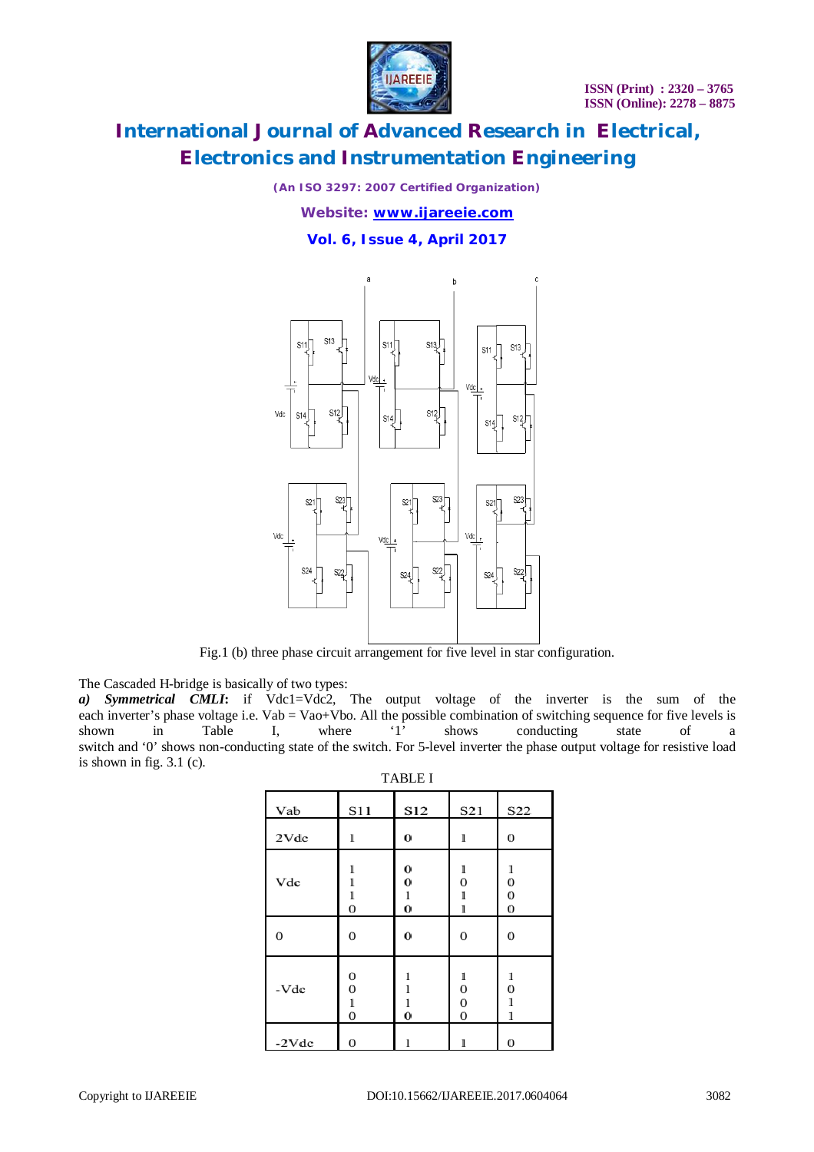

*(An ISO 3297: 2007 Certified Organization) Website: [www.ijareeie.com](http://www.ijareeie.com)*

**Vol. 6, Issue 4, April 2017**



Fig.1 (b) three phase circuit arrangement for five level in star configuration.

The Cascaded H-bridge is basically of two types:

*a) Symmetrical CMLI***:** if Vdc1=Vdc2, The output voltage of the inverter is the sum of the each inverter's phase voltage i.e.  $Vab = Vao+Vbo$ . All the possible combination of switching sequence for five levels is shown in Table I, where '1' shows conducting state of a shown in Table I, where '1' shows conducting state of a switch and '0' shows non-conducting state of the switch. For 5-level inverter the phase output voltage for resistive load is shown in fig. 3.1 (c). TABLE I

| TABLE I |                                |                    |                                               |                                       |  |  |  |
|---------|--------------------------------|--------------------|-----------------------------------------------|---------------------------------------|--|--|--|
| Vab     | S11                            | S12                | S21                                           | S22                                   |  |  |  |
| 2Vdc    | 1                              | $\bf{0}$           |                                               | 0                                     |  |  |  |
| Vdc     | $\bf{0}$                       | 0<br>0<br>$\bf{0}$ | 0<br>1                                        | 1<br>$\bf{0}$<br>$\bf{0}$<br>$\bf{0}$ |  |  |  |
| 0       | 0                              | 0                  | 0                                             | 0                                     |  |  |  |
| -Vdc    | 0<br>$\bf{0}$<br>1<br>$\bf{0}$ | $\bf{0}$           | 1<br>$\bf{0}$<br>$\bf{0}$<br>$\boldsymbol{0}$ | 1<br>0<br>1<br>1                      |  |  |  |
| $-2Vdc$ | $\bf{0}$                       | 1                  | 1                                             | $\bf{0}$                              |  |  |  |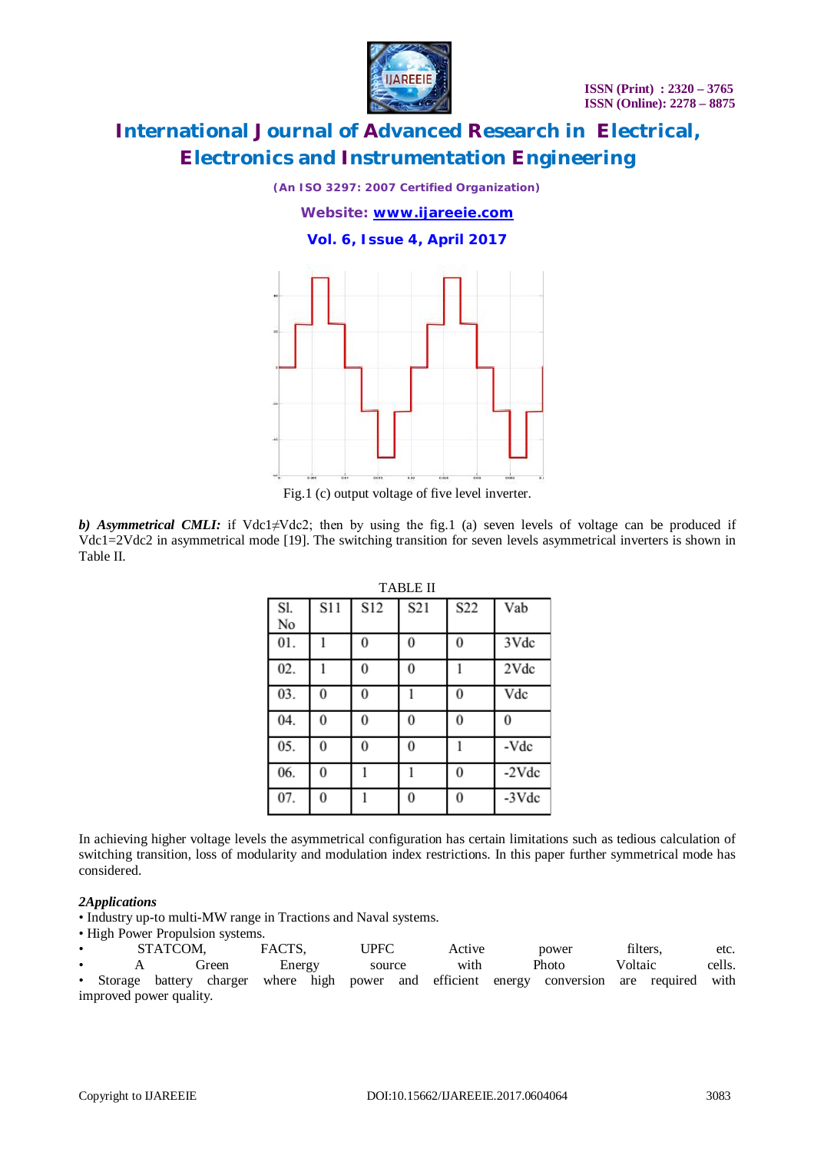

*(An ISO 3297: 2007 Certified Organization) Website: [www.ijareeie.com](http://www.ijareeie.com)* **Vol. 6, Issue 4, April 2017**



Fig.1 (c) output voltage of five level inverter.

*b) Asymmetrical CMLI:* if Vdc1≠Vdc2; then by using the fig.1 (a) seven levels of voltage can be produced if Vdc1=2Vdc2 in asymmetrical mode [19]. The switching transition for seven levels asymmetrical inverters is shown in Table II.

| TABLE II |          |                 |                 |          |          |  |  |
|----------|----------|-----------------|-----------------|----------|----------|--|--|
| Sl.      | S11      | S <sub>12</sub> | S <sub>21</sub> | S22      | Vab      |  |  |
| No       |          |                 |                 |          |          |  |  |
| 01.      |          | $\bf{0}$        | $\theta$        | $\theta$ | 3Vdc     |  |  |
| 02.      |          | 0               | $\theta$        |          | 2Vdc     |  |  |
| 03.      | $\Omega$ | 0               |                 | $\theta$ | Vdc      |  |  |
| 04.      | 0        | 0               | $\theta$        | $\theta$ | $\Omega$ |  |  |
| 05.      | $\Omega$ | 0               | $\theta$        |          | -Vdc     |  |  |
| 06.      | $\Omega$ |                 |                 | $\theta$ | $-2Vdc$  |  |  |
| 07.      | $\Omega$ |                 | $\theta$        | $\theta$ | $-3$ Vdc |  |  |

 $T_{\rm T}$ 

In achieving higher voltage levels the asymmetrical configuration has certain limitations such as tedious calculation of switching transition, loss of modularity and modulation index restrictions. In this paper further symmetrical mode has considered.

#### *2Applications*

• Industry up-to multi-MW range in Tractions and Naval systems.

• High Power Propulsion systems.

• STATCOM, FACTS, UPFC Active power filters, etc. • A Green Energy source with Photo Voltaic cells. Storage battery charger where high power and efficient energy conversion are required with improved power quality.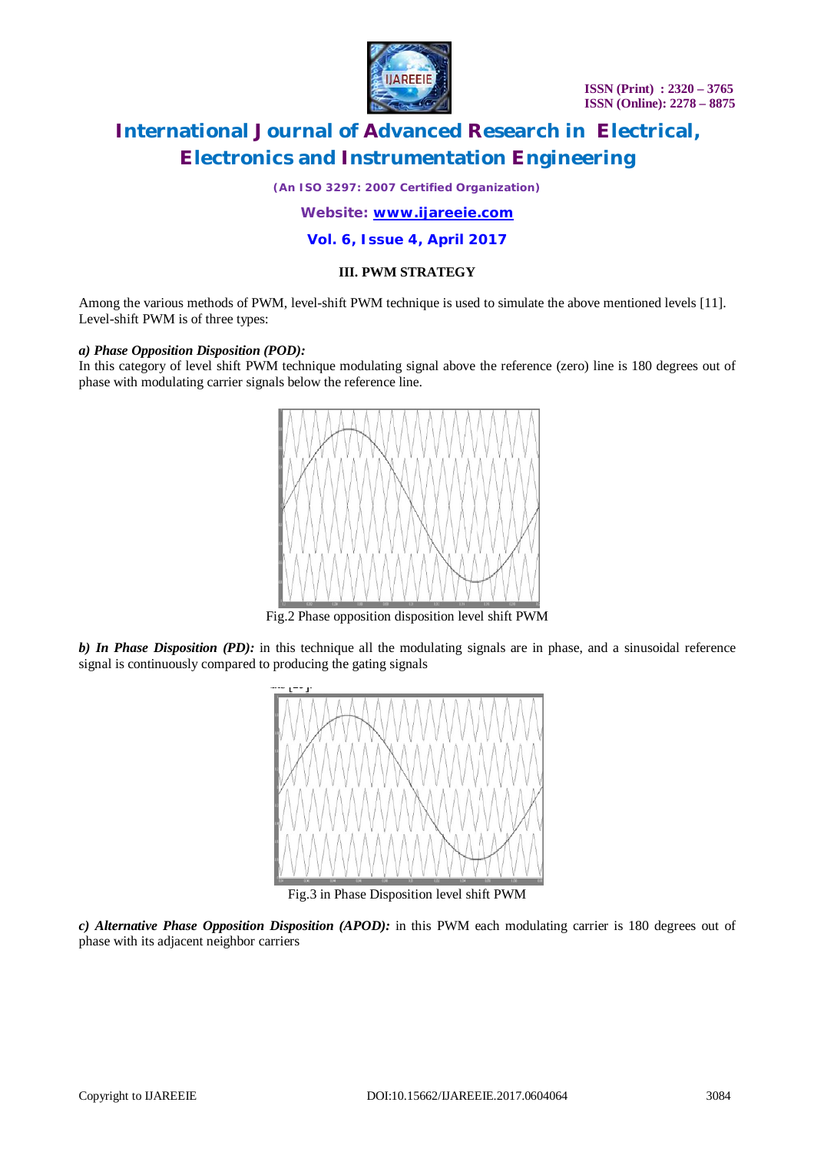

*(An ISO 3297: 2007 Certified Organization)*

*Website: [www.ijareeie.com](http://www.ijareeie.com)*

**Vol. 6, Issue 4, April 2017**

#### **III. PWM STRATEGY**

Among the various methods of PWM, level-shift PWM technique is used to simulate the above mentioned levels [11]. Level-shift PWM is of three types:

#### *a) Phase Opposition Disposition (POD):*

In this category of level shift PWM technique modulating signal above the reference (zero) line is 180 degrees out of phase with modulating carrier signals below the reference line.



Fig.2 Phase opposition disposition level shift PWM

*b) In Phase Disposition (PD):* in this technique all the modulating signals are in phase, and a sinusoidal reference signal is continuously compared to producing the gating signals



Fig.3 in Phase Disposition level shift PWM

*c) Alternative Phase Opposition Disposition (APOD):* in this PWM each modulating carrier is 180 degrees out of phase with its adjacent neighbor carriers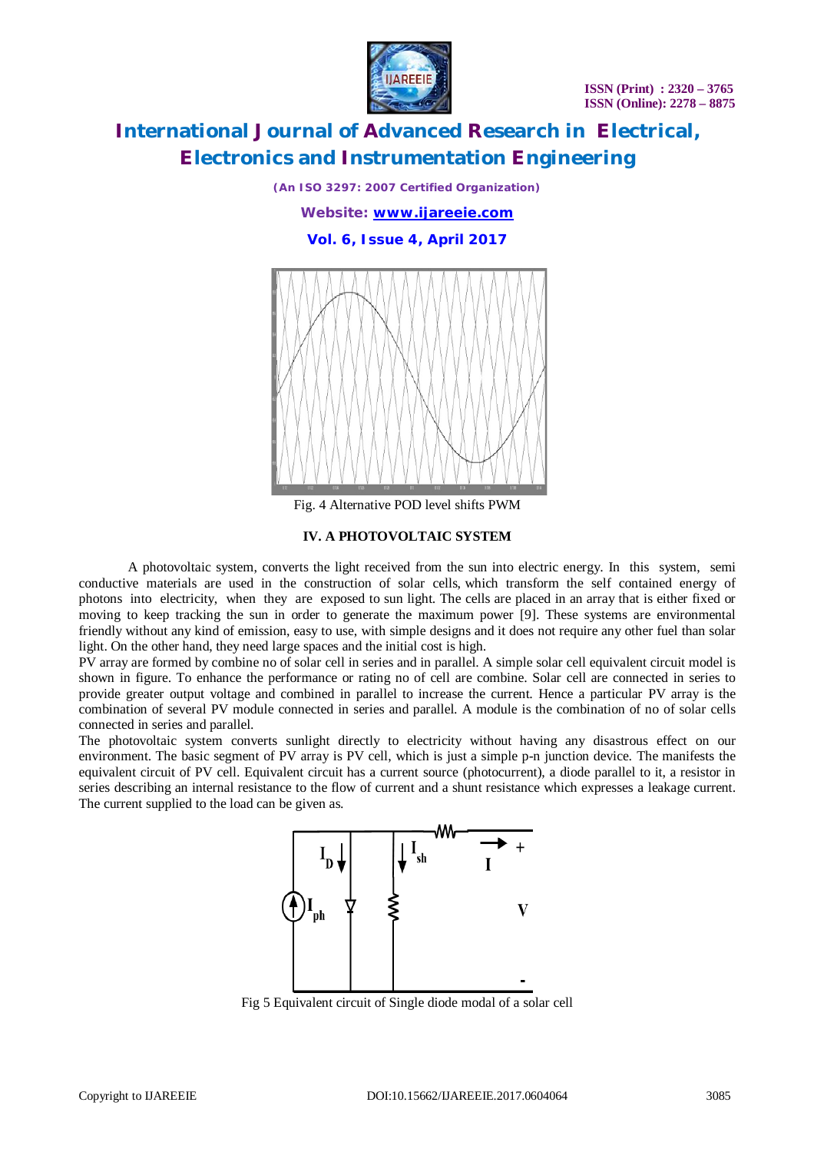**ISSN (Print) : 2320 – 3765 ISSN (Online): 2278 – 8875**



### **International Journal of Advanced Research in Electrical, Electronics and Instrumentation Engineering**

*(An ISO 3297: 2007 Certified Organization) Website: [www.ijareeie.com](http://www.ijareeie.com)* **Vol. 6, Issue 4, April 2017**



Fig. 4 Alternative POD level shifts PWM

#### **IV. A PHOTOVOLTAIC SYSTEM**

A photovoltaic system, converts the light received from the sun into electric energy. In this system, semi conductive materials are used in the construction of solar cells, which transform the self contained energy of photons into electricity, when they are exposed to sun light. The cells are placed in an array that is either fixed or moving to keep tracking the sun in order to generate the maximum power [9]. These systems are environmental friendly without any kind of emission, easy to use, with simple designs and it does not require any other fuel than solar light. On the other hand, they need large spaces and the initial cost is high.

PV array are formed by combine no of solar cell in series and in parallel. A simple solar cell equivalent circuit model is shown in figure. To enhance the performance or rating no of cell are combine. Solar cell are connected in series to provide greater output voltage and combined in parallel to increase the current. Hence a particular PV array is the combination of several PV module connected in series and parallel. A module is the combination of no of solar cells connected in series and parallel.

The photovoltaic system converts sunlight directly to electricity without having any disastrous effect on our environment. The basic segment of PV array is PV cell, which is just a simple p-n junction device. The manifests the equivalent circuit of PV cell. Equivalent circuit has a current source (photocurrent), a diode parallel to it, a resistor in series describing an internal resistance to the flow of current and a shunt resistance which expresses a leakage current. The current supplied to the load can be given as.



Fig 5 Equivalent circuit of Single diode modal of a solar cell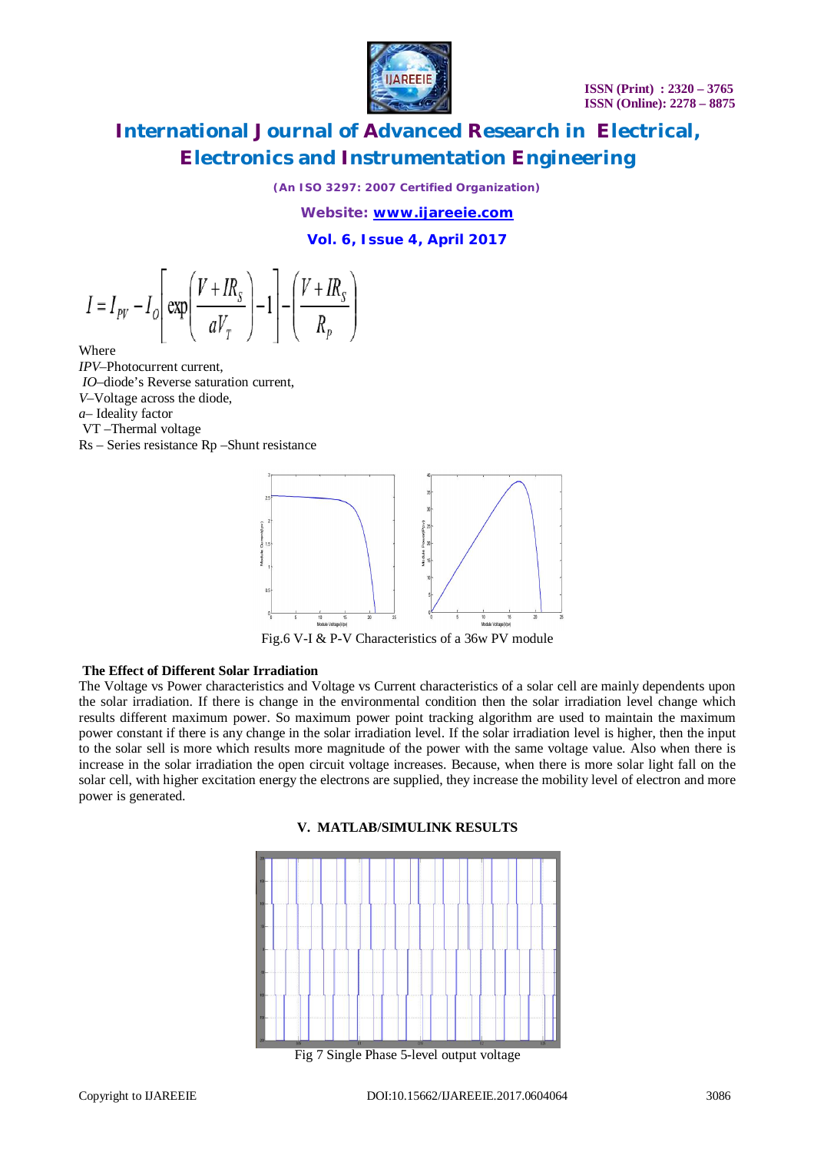

*(An ISO 3297: 2007 Certified Organization)*

*Website: [www.ijareeie.com](http://www.ijareeie.com)*

**Vol. 6, Issue 4, April 2017**

$$
I = I_{\text{PV}} - I_o \left[ \exp\left(\frac{V + IR_s}{aV_T}\right) - 1 \right] - \left(\frac{V + IR_s}{R_p}\right)
$$

Where

*IPV*–Photocurrent current,

*IO*–diode's Reverse saturation current,

*V*–Voltage across the diode,

*a*– Ideality factor

VT –Thermal voltage

Rs – Series resistance Rp –Shunt resistance



Fig.6 V-I & P-V Characteristics of a 36w PV module

#### **The Effect of Different Solar Irradiation**

The Voltage vs Power characteristics and Voltage vs Current characteristics of a solar cell are mainly dependents upon the solar irradiation. If there is change in the environmental condition then the solar irradiation level change which results different maximum power. So maximum power point tracking algorithm are used to maintain the maximum power constant if there is any change in the solar irradiation level. If the solar irradiation level is higher, then the input to the solar sell is more which results more magnitude of the power with the same voltage value. Also when there is increase in the solar irradiation the open circuit voltage increases. Because, when there is more solar light fall on the solar cell, with higher excitation energy the electrons are supplied, they increase the mobility level of electron and more power is generated.



#### **V. MATLAB/SIMULINK RESULTS**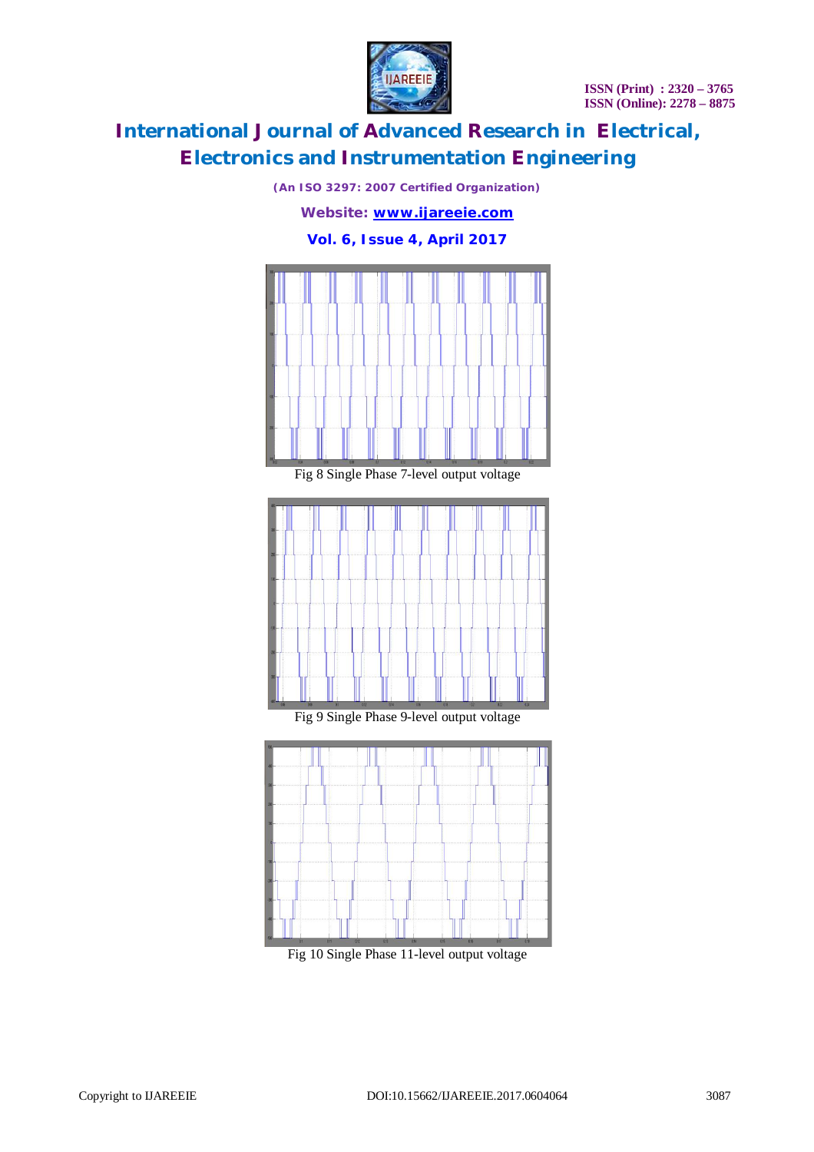**ISSN (Print) : 2320 – 3765 ISSN (Online): 2278 – 8875**



# **International Journal of Advanced Research in Electrical, Electronics and Instrumentation Engineering**

*(An ISO 3297: 2007 Certified Organization)*



Fig 10 Single Phase 11-level output voltage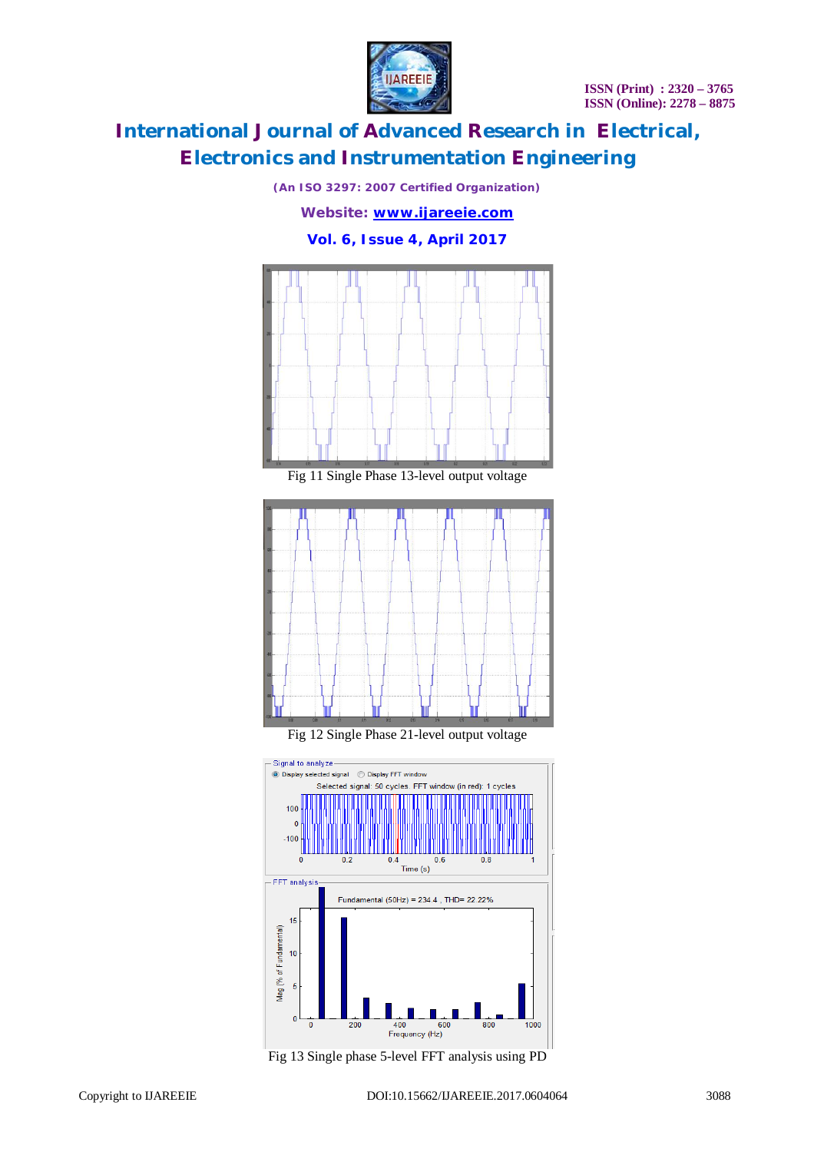**ISSN (Print) : 2320 – 3765 ISSN (Online): 2278 – 8875**



# **International Journal of Advanced Research in Electrical, Electronics and Instrumentation Engineering**

*(An ISO 3297: 2007 Certified Organization) Website: [www.ijareeie.com](http://www.ijareeie.com)* **Vol. 6, Issue 4, April 2017**



Fig 11 Single Phase 13-level output voltage



Fig 12 Single Phase 21-level output voltage



Fig 13 Single phase 5-level FFT analysis using PD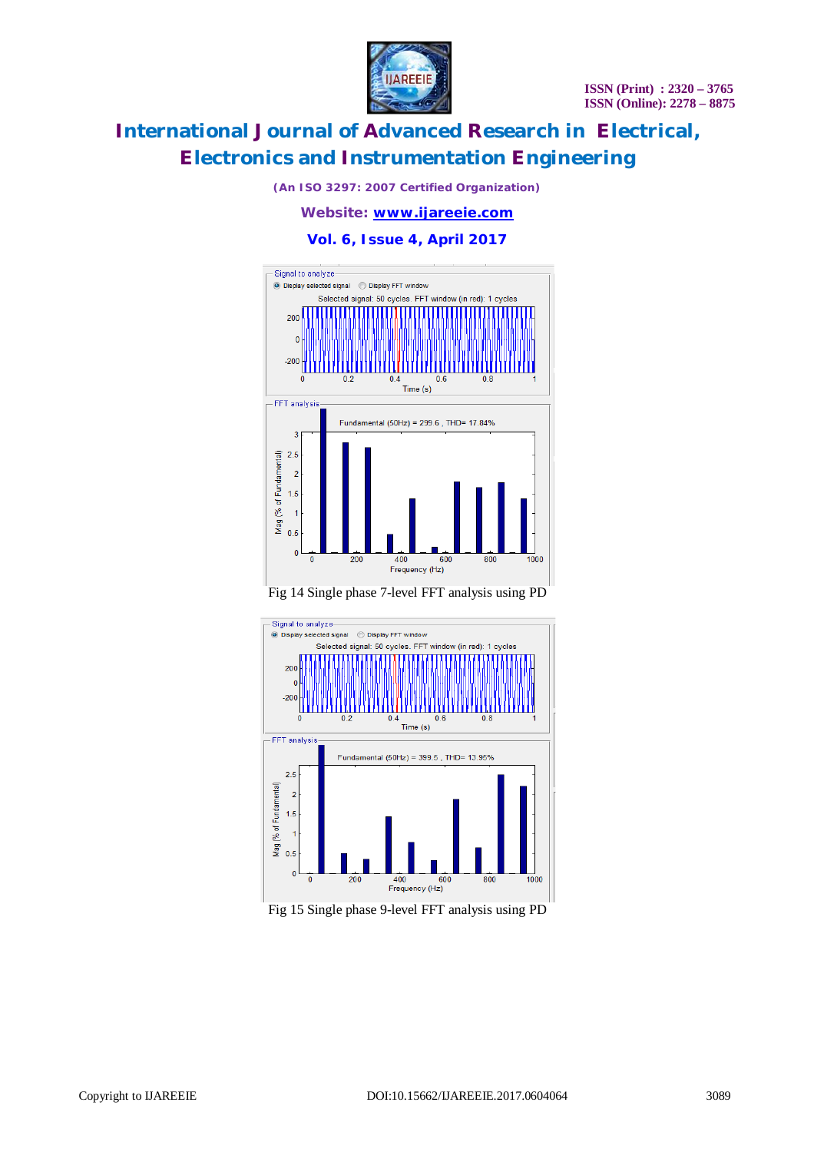

*(An ISO 3297: 2007 Certified Organization)*

*Website: [www.ijareeie.com](http://www.ijareeie.com)*

**Vol. 6, Issue 4, April 2017**







Fig 15 Single phase 9-level FFT analysis using PD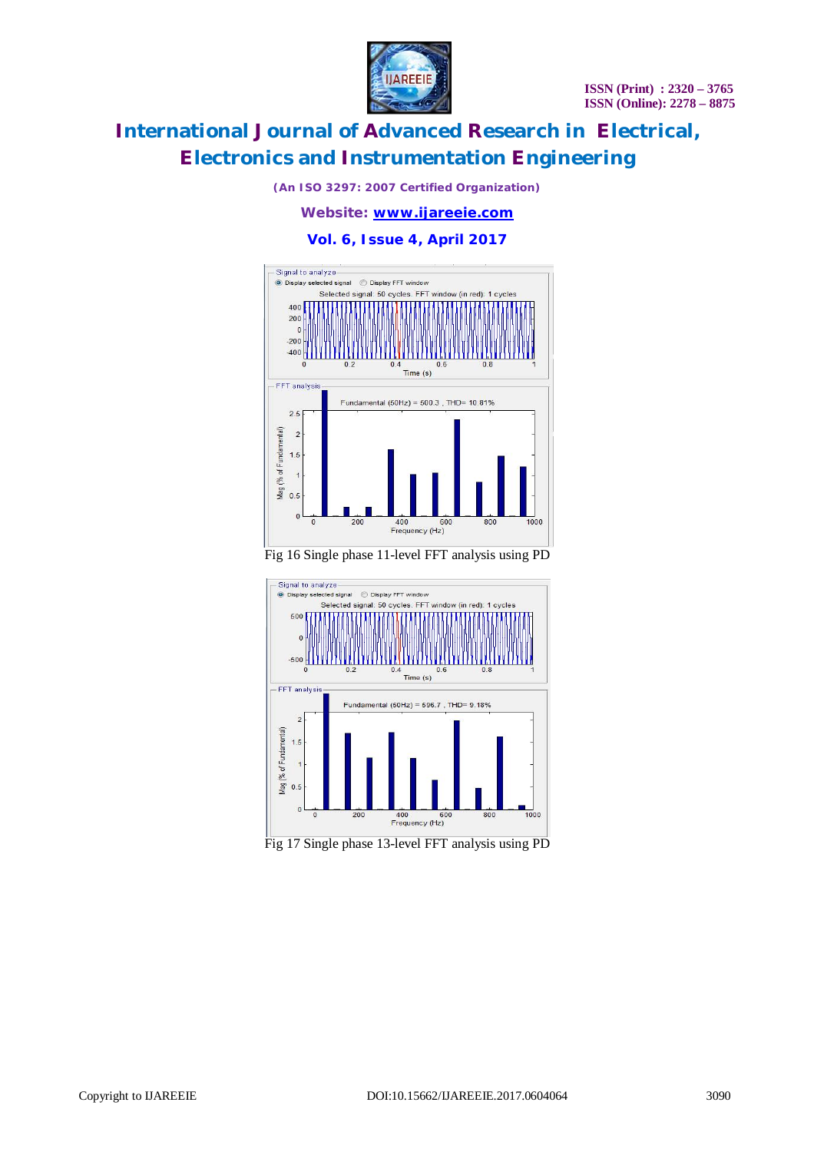

*(An ISO 3297: 2007 Certified Organization)*

*Website: [www.ijareeie.com](http://www.ijareeie.com)*

**Vol. 6, Issue 4, April 2017**



Fig 16 Single phase 11-level FFT analysis using PD



Fig 17 Single phase 13-level FFT analysis using PD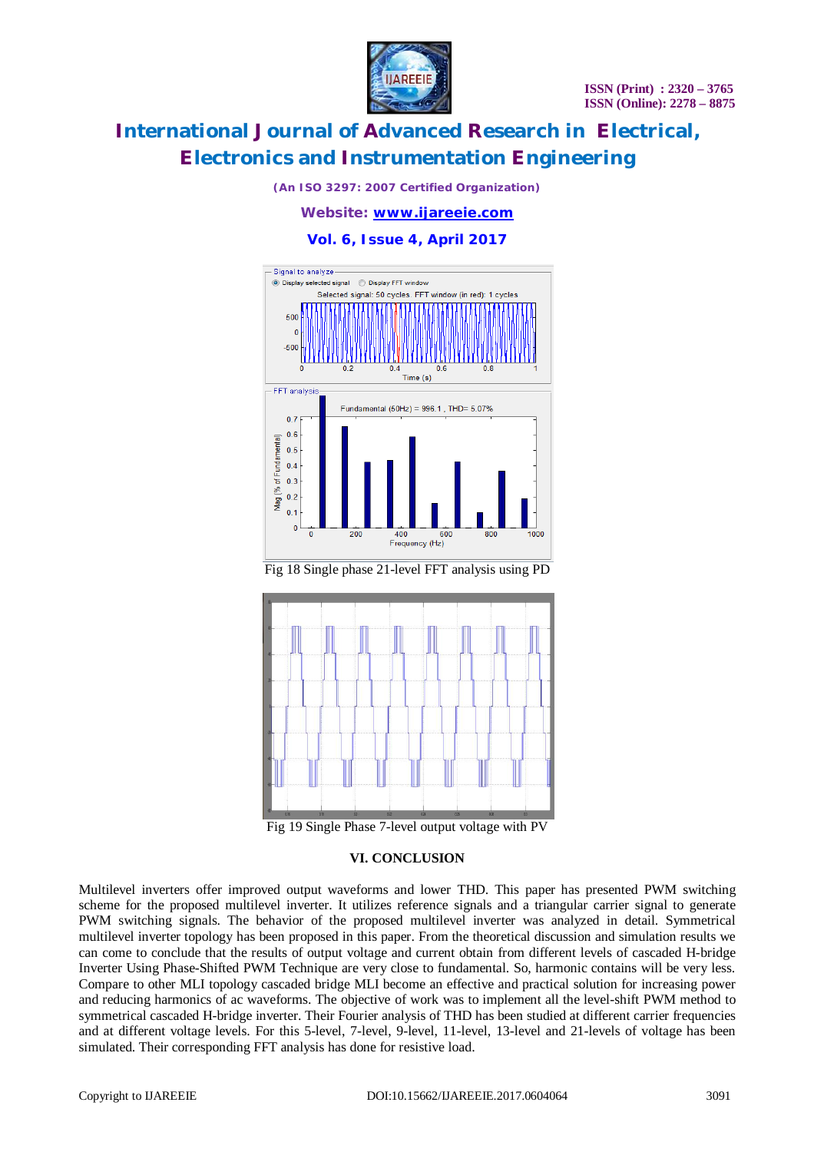

*(An ISO 3297: 2007 Certified Organization)*

#### *Website: [www.ijareeie.com](http://www.ijareeie.com)*

**Vol. 6, Issue 4, April 2017**



Fig 18 Single phase 21-level FFT analysis using PD



Fig 19 Single Phase 7-level output voltage with PV

#### **VI. CONCLUSION**

Multilevel inverters offer improved output waveforms and lower THD. This paper has presented PWM switching scheme for the proposed multilevel inverter. It utilizes reference signals and a triangular carrier signal to generate PWM switching signals. The behavior of the proposed multilevel inverter was analyzed in detail. Symmetrical multilevel inverter topology has been proposed in this paper. From the theoretical discussion and simulation results we can come to conclude that the results of output voltage and current obtain from different levels of cascaded H-bridge Inverter Using Phase-Shifted PWM Technique are very close to fundamental. So, harmonic contains will be very less. Compare to other MLI topology cascaded bridge MLI become an effective and practical solution for increasing power and reducing harmonics of ac waveforms. The objective of work was to implement all the level-shift PWM method to symmetrical cascaded H-bridge inverter. Their Fourier analysis of THD has been studied at different carrier frequencies and at different voltage levels. For this 5-level, 7-level, 9-level, 11-level, 13-level and 21-levels of voltage has been simulated. Their corresponding FFT analysis has done for resistive load.